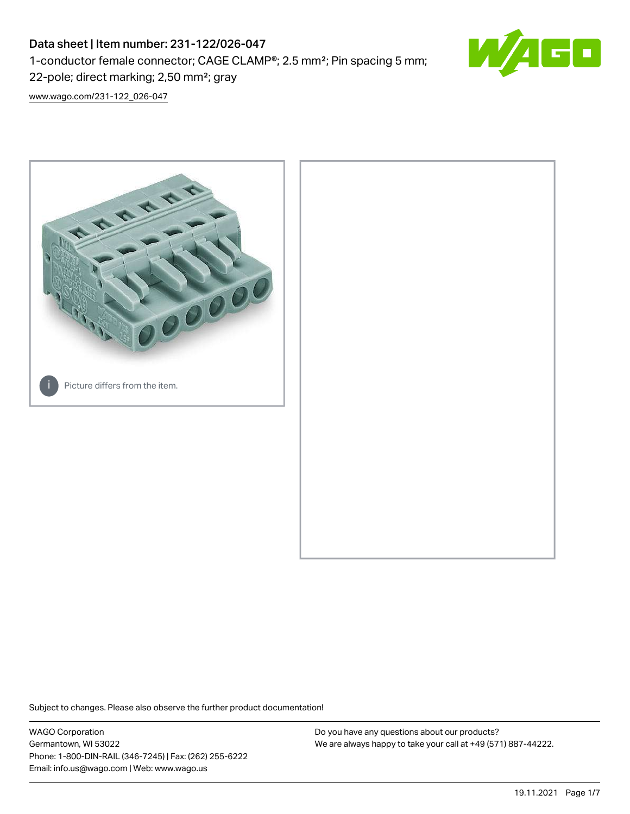# Data sheet | Item number: 231-122/026-047

1-conductor female connector; CAGE CLAMP®; 2.5 mm²; Pin spacing 5 mm;

22-pole; direct marking; 2,50 mm²; gray

[www.wago.com/231-122\\_026-047](http://www.wago.com/231-122_026-047)



Subject to changes. Please also observe the further product documentation!

WAGO Corporation Germantown, WI 53022 Phone: 1-800-DIN-RAIL (346-7245) | Fax: (262) 255-6222 Email: info.us@wago.com | Web: www.wago.us

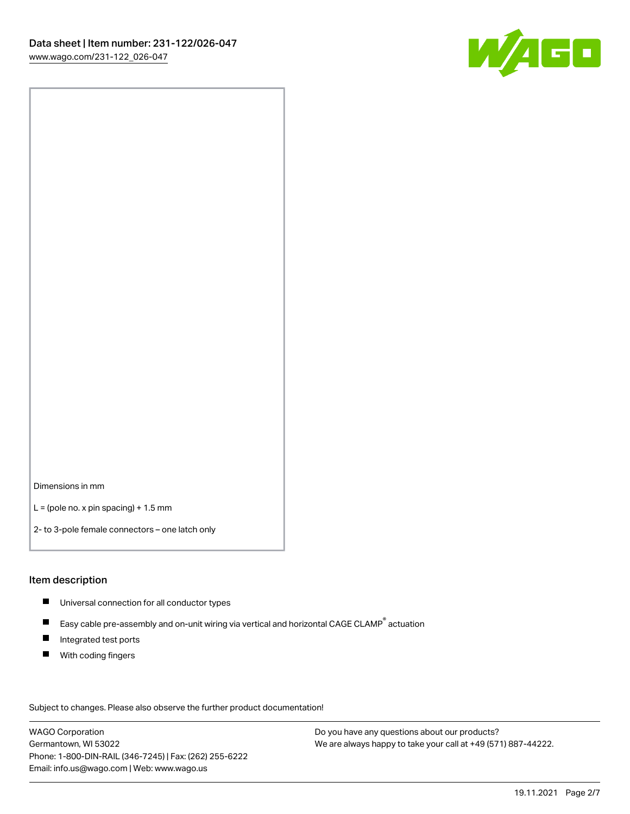

Dimensions in mm

 $L =$  (pole no. x pin spacing) + 1.5 mm

2- to 3-pole female connectors – one latch only

## Item description

- **Universal connection for all conductor types**
- Easy cable pre-assembly and on-unit wiring via vertical and horizontal CAGE CLAMP<sup>®</sup> actuation  $\blacksquare$
- $\blacksquare$ Integrated test ports
- $\blacksquare$ With coding fingers

Subject to changes. Please also observe the further product documentation! Data

WAGO Corporation Germantown, WI 53022 Phone: 1-800-DIN-RAIL (346-7245) | Fax: (262) 255-6222 Email: info.us@wago.com | Web: www.wago.us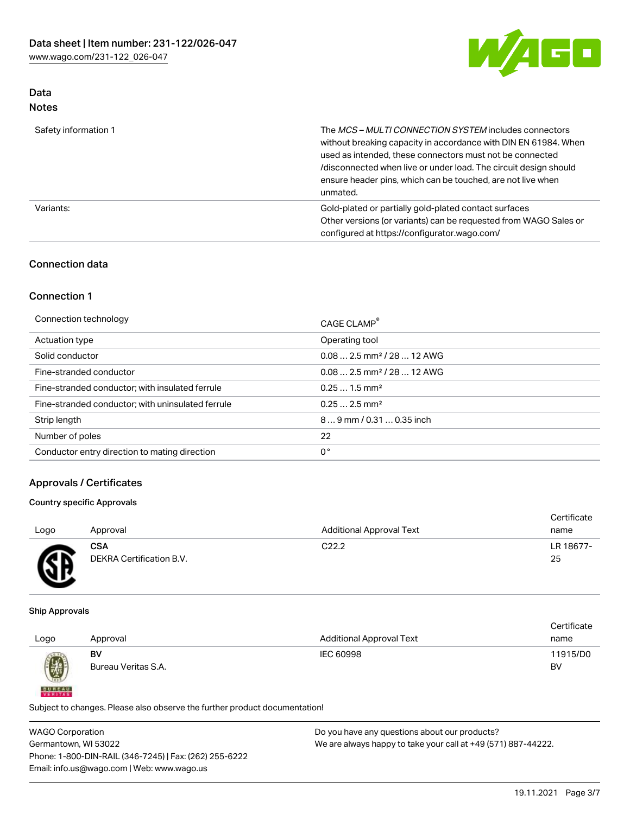

# Data Notes

| Safety information 1 | The MCS-MULTI CONNECTION SYSTEM includes connectors<br>without breaking capacity in accordance with DIN EN 61984. When<br>used as intended, these connectors must not be connected<br>/disconnected when live or under load. The circuit design should<br>ensure header pins, which can be touched, are not live when<br>unmated. |
|----------------------|-----------------------------------------------------------------------------------------------------------------------------------------------------------------------------------------------------------------------------------------------------------------------------------------------------------------------------------|
| Variants:            | Gold-plated or partially gold-plated contact surfaces<br>Other versions (or variants) can be requested from WAGO Sales or<br>configured at https://configurator.wago.com/                                                                                                                                                         |

# Connection data

# Connection 1

| Connection technology                             | CAGE CLAMP <sup>®</sup>                |
|---------------------------------------------------|----------------------------------------|
| Actuation type                                    | Operating tool                         |
| Solid conductor                                   | $0.082.5$ mm <sup>2</sup> / 28  12 AWG |
| Fine-stranded conductor                           | $0.082.5$ mm <sup>2</sup> / 28  12 AWG |
| Fine-stranded conductor; with insulated ferrule   | $0.251.5$ mm <sup>2</sup>              |
| Fine-stranded conductor; with uninsulated ferrule | $0.252.5$ mm <sup>2</sup>              |
| Strip length                                      | 89 mm / 0.31  0.35 inch                |
| Number of poles                                   | 22                                     |
| Conductor entry direction to mating direction     | 0°                                     |

# Approvals / Certificates

## Country specific Approvals

| Logo         | Approval                 | <b>Additional Approval Text</b> | Certificate<br>name |
|--------------|--------------------------|---------------------------------|---------------------|
| $\mathbb{R}$ | <b>CSA</b>               | C <sub>22.2</sub>               | LR 18677-           |
| ≃            | DEKRA Certification B.V. |                                 | 25                  |

#### Ship Approvals

**BUREAU** 

|      |                     |                                 | Certificate |
|------|---------------------|---------------------------------|-------------|
| Logo | Approval            | <b>Additional Approval Text</b> | name        |
|      | BV                  | IEC 60998                       | 11915/D0    |
| 0    | Bureau Veritas S.A. |                                 | BV          |
|      |                     |                                 |             |

Subject to changes. Please also observe the further product documentation!

WAGO Corporation Germantown, WI 53022 Phone: 1-800-DIN-RAIL (346-7245) | Fax: (262) 255-6222 Email: info.us@wago.com | Web: www.wago.us Do you have any questions about our products? We are always happy to take your call at +49 (571) 887-44222.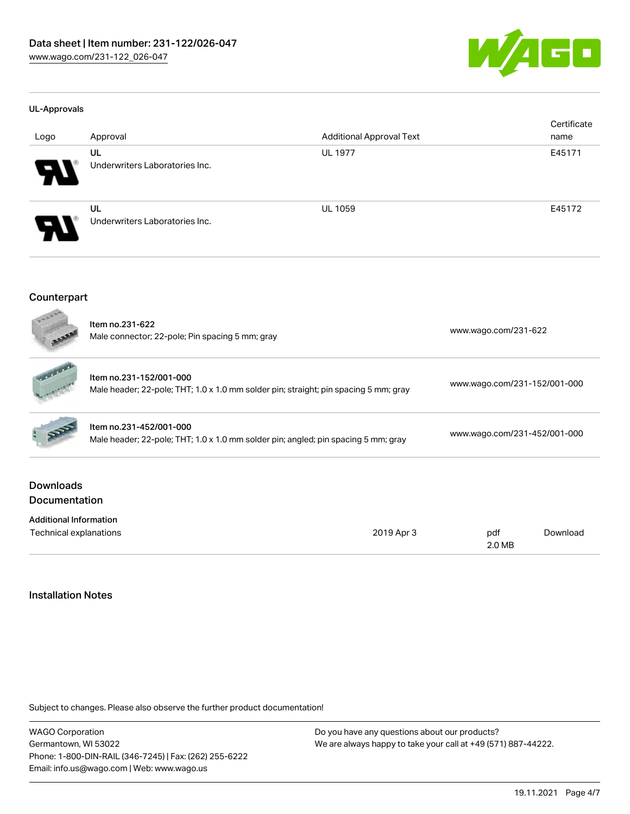

#### UL-Approvals

| Logo | Approval                       | <b>Additional Approval Text</b> | Certificate<br>name |
|------|--------------------------------|---------------------------------|---------------------|
|      | UL                             | <b>UL 1977</b>                  | E45171              |
| R    | Underwriters Laboratories Inc. |                                 |                     |
|      | UL                             | <b>UL 1059</b>                  | E45172              |
| Р.   | Underwriters Laboratories Inc. |                                 |                     |

#### Counterpart

| boone                                    | Item no.231-622<br>Male connector; 22-pole; Pin spacing 5 mm; gray                                              |            | www.wago.com/231-622         |          |  |
|------------------------------------------|-----------------------------------------------------------------------------------------------------------------|------------|------------------------------|----------|--|
|                                          | Item no.231-152/001-000<br>Male header; 22-pole; THT; 1.0 x 1.0 mm solder pin; straight; pin spacing 5 mm; gray |            | www.wago.com/231-152/001-000 |          |  |
|                                          | Item no.231-452/001-000<br>Male header; 22-pole; THT; 1.0 x 1.0 mm solder pin; angled; pin spacing 5 mm; gray   |            | www.wago.com/231-452/001-000 |          |  |
| <b>Downloads</b><br><b>Documentation</b> |                                                                                                                 |            |                              |          |  |
| <b>Additional Information</b>            |                                                                                                                 |            |                              |          |  |
| Technical explanations                   |                                                                                                                 | 2019 Apr 3 | pdf<br>2.0 MB                | Download |  |

# Installation Notes

Subject to changes. Please also observe the further product documentation!

WAGO Corporation Germantown, WI 53022 Phone: 1-800-DIN-RAIL (346-7245) | Fax: (262) 255-6222 Email: info.us@wago.com | Web: www.wago.us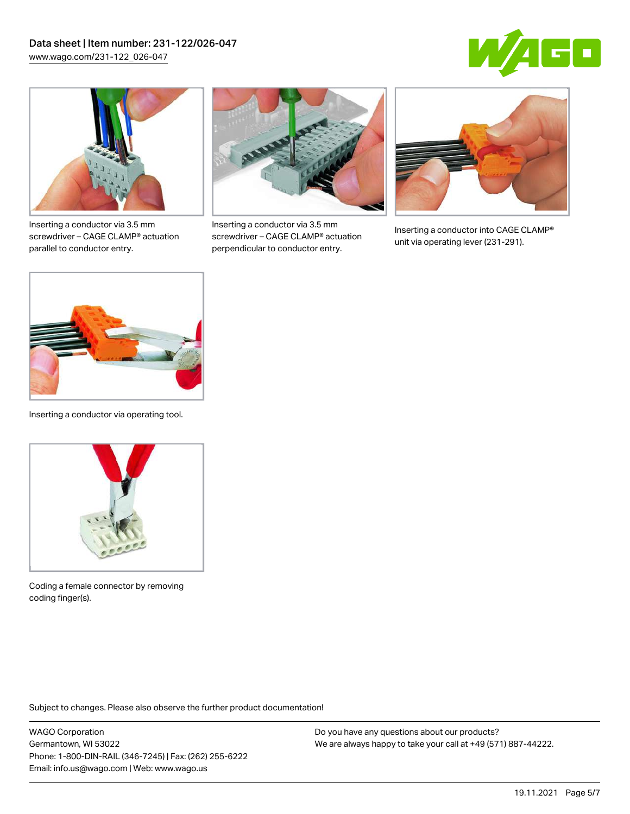



Inserting a conductor via 3.5 mm screwdriver – CAGE CLAMP® actuation parallel to conductor entry.



Inserting a conductor via 3.5 mm screwdriver – CAGE CLAMP® actuation perpendicular to conductor entry.



Inserting a conductor into CAGE CLAMP® unit via operating lever (231-291).



Inserting a conductor via operating tool.



Coding a female connector by removing coding finger(s).

Subject to changes. Please also observe the further product documentation!

WAGO Corporation Germantown, WI 53022 Phone: 1-800-DIN-RAIL (346-7245) | Fax: (262) 255-6222 Email: info.us@wago.com | Web: www.wago.us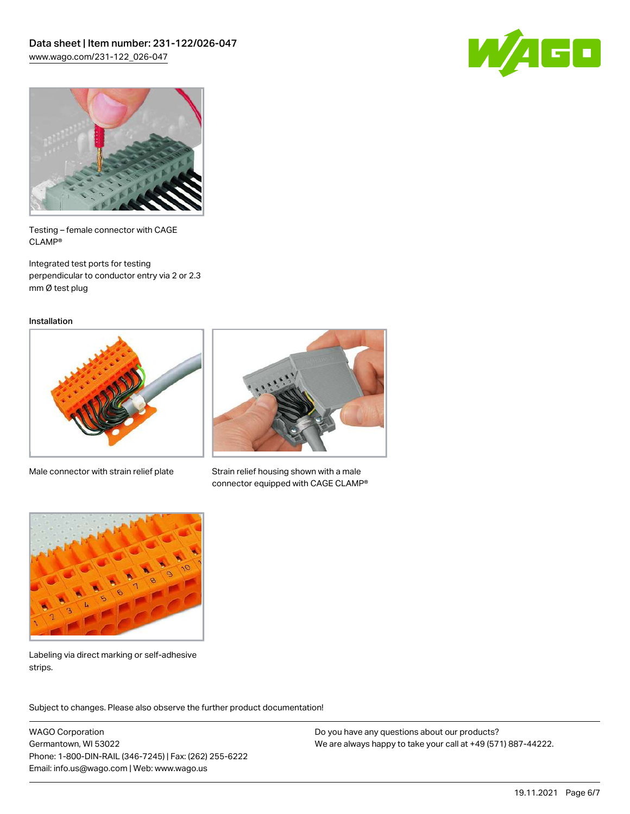



Testing – female connector with CAGE CLAMP®

Integrated test ports for testing perpendicular to conductor entry via 2 or 2.3 mm Ø test plug

Installation



Male connector with strain relief plate



Strain relief housing shown with a male connector equipped with CAGE CLAMP®



Labeling via direct marking or self-adhesive strips.

Subject to changes. Please also observe the further product documentation! Product family

WAGO Corporation Germantown, WI 53022 Phone: 1-800-DIN-RAIL (346-7245) | Fax: (262) 255-6222 Email: info.us@wago.com | Web: www.wago.us